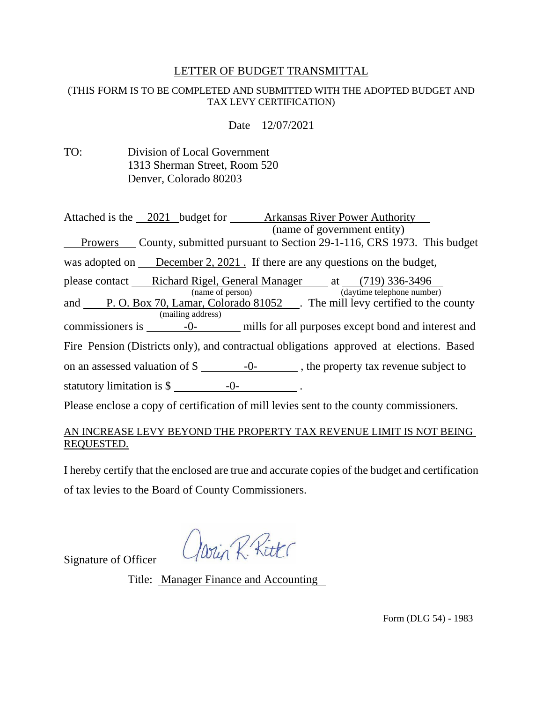# LETTER OF BUDGET TRANSMITTAL

#### (THIS FORM IS TO BE COMPLETED AND SUBMITTED WITH THE ADOPTED BUDGET AND TAX LEVY CERTIFICATION)

Date 12/07/2021

| TO: | Division of Local Government  |
|-----|-------------------------------|
|     | 1313 Sherman Street, Room 520 |
|     | Denver, Colorado 80203        |

| Attached is the 2021 budget for <b>Arkansas River Power Authority</b><br>(name of government entity)           |
|----------------------------------------------------------------------------------------------------------------|
| Prowers County, submitted pursuant to Section 29-1-116, CRS 1973. This budget<br>$\overline{\phantom{a}}$      |
| was adopted on December 2, 2021. If there are any questions on the budget,                                     |
| please contact Richard Rigel, General Manager at (719) 336-3496<br>(name of person) (daytime telephone number) |
| and P.O. Box 70, Lamar, Colorado 81052 Finemill levy certified to the county                                   |
| (mailing address)                                                                                              |
|                                                                                                                |
| Fire Pension (Districts only), and contractual obligations approved at elections. Based                        |
| on an assessed valuation of $\frac{1}{2}$ -0-<br>-0-<br>the property tax revenue subject to                    |
| statutory limitation is $\frac{1}{2}$ -0-                                                                      |
| Please enclose a copy of certification of mill levies sent to the county commissioners.                        |

### AN INCREASE LEVY BEYOND THE PROPERTY TAX REVENUE LIMIT IS NOT BEING REQUESTED.

I hereby certify that the enclosed are true and accurate copies of the budget and certification of tax levies to the Board of County Commissioners.

Win R. Ritt

Signature of Officer

Title: Manager Finance and Accounting

Form (DLG 54) - 1983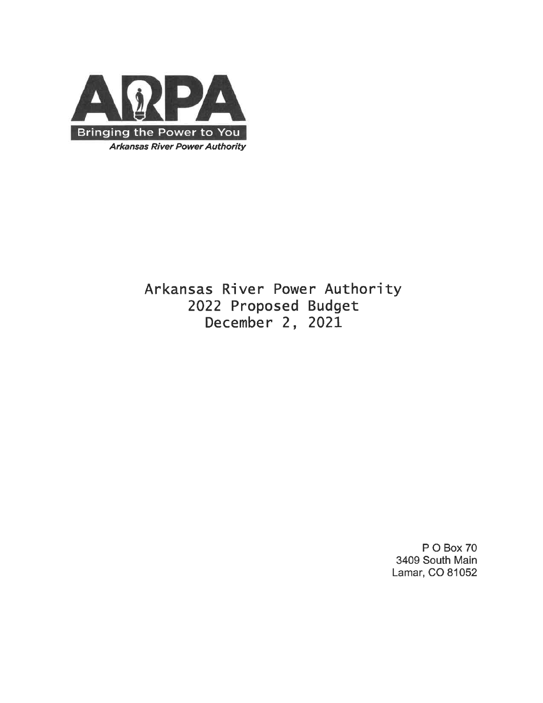

Arkansas River Power Authority 2022 Proposed Budget December 2, 2021

> P O Box 70 3409 South Main Lamar, CO 81052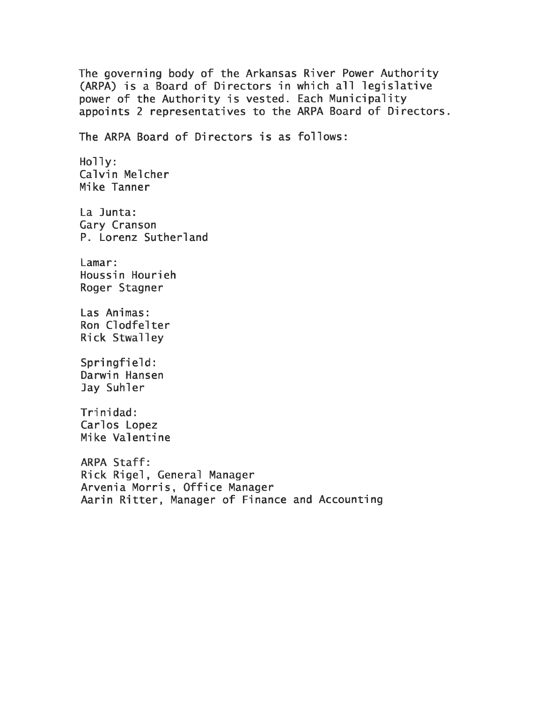The governing body of the Arkansas River Power Authority (ARPA) is a Board of Directors in which all legislative power of the Authority is vested. Each Municipality appoints 2 representatives to the ARPA Board of Directors. The ARPA Board of Directors is as follows:  $Holly:$ Calvin Melcher Mike Tanner La Junta: Gary Cranson P. Lorenz Sutherland Lamar: Houssin Hourieh Roger Stagner Las Animas: Ron Clodfelter Rick Stwalley Springfield: Darwin Hansen Jay Suhler Trinidad: Carlos Lopez Mike Valentine ARPA Staff: Rick Rigel, General Manager Arvenia Morris, Office Manager Aarin Ritter, Manager of Finance and Accounting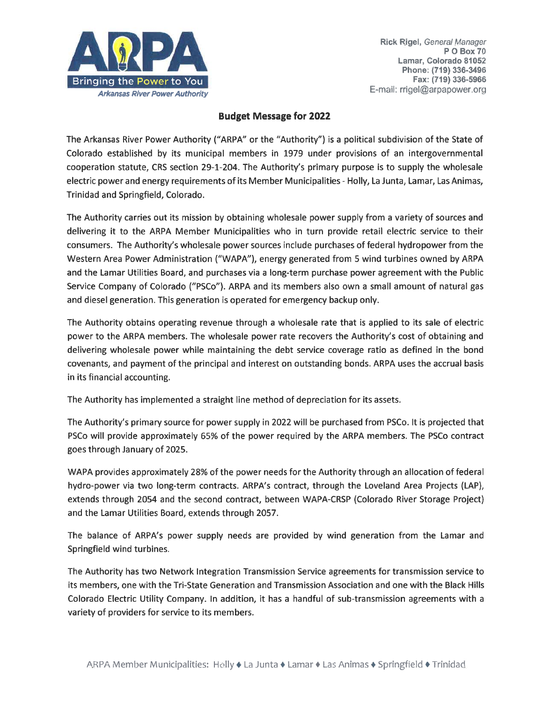

#### **Budget Message for 2022**

The Arkansas River Power Authority ("ARPA" or the "Authority") is a political subdivision of the State of Colorado established by its municipal members in 1979 under provisions of an intergovernmental cooperation statute, CRS section 29-1-204. The Authority's primary purpose is to supply the wholesale electric power and energy requirements of its Member Municipalities - Holly, La Junta, Lamar, Las Animas, Trinidad and Springfield, Colorado.

The Authority carries out its mission by obtaining wholesale power supply from a variety of sources and delivering it to the ARPA Member Municipalities who in turn provide retail electric service to their consumers. The Authority's wholesale power sources include purchases of federal hydropower from the Western Area Power Administration ("WAPA"), energy generated from 5 wind turbines owned by ARPA and the Lamar Utilities Board, and purchases via a long-term purchase power agreement with the Public Service Company of Colorado ("PSCo"). ARPA and its members also own a small amount of natural gas and diesel generation. This generation is operated for emergency backup only.

The Authority obtains operating revenue through a wholesale rate that is applied to its sale of electric power to the ARPA members. The wholesale power rate recovers the Authority's cost of obtaining and delivering wholesale power while maintaining the debt service coverage ratio as defined in the bond covenants, and payment of the principal and interest on outstanding bonds. ARPA uses the accrual basis in its financial accounting.

The Authority has implemented a straight line method of depreciation for its assets.

The Authority's primary source for power supply in 2022 will be purchased from PSCo. It is projected that PSCo will provide approximately 65% of the power required by the ARPA members. The PSCo contract goes through January of 2025.

WAPA provides approximately 28% of the power needs for the Authority through an allocation of federal hydro-power via two long-term contracts. ARPA's contract, through the Loveland Area Projects (LAP), extends through 2054 and the second contract, between WAPA-CRSP (Colorado River Storage Project) and the Lamar Utilities Board, extends through 2057.

The balance of ARPA's power supply needs are provided by wind generation from the Lamar and Springfield wind turbines.

The Authority has two Network Integration Transmission Service agreements for transmission service to its members, one with the Tri-State Generation and Transmission Association and one with the Black Hills Colorado Electric Utility Company. In addition, it has a handful of sub-transmission agreements with a variety of providers for service to its members.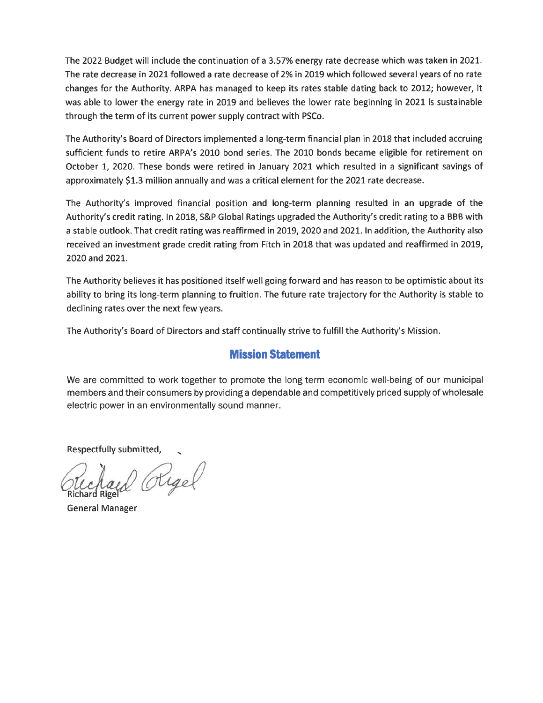The 2022 Budget will include the continuation of a 3.57% energy rate decrease which was taken in 2021. The rate decrease in 2021 followed a rate decrease of 2% in 2019 which followed several years of no rate changes for the Authority. ARPA has managed to keep its rates stable dating back to 2012; however, it was able to lower the energy rate in 2019 and believes the lower rate beginning in 2021 is sustainable through the term of its current power supply contract with PSCo.

The Authority's Board of Directors implemented a long-term financial plan in 2018 that included accruing sufficient funds to retire ARPA's 2010 bond series. The 2010 bonds became eligible for retirement on October 1, 2020. These bonds were retired in January 2021 which resulted in a significant savings of approximately \$1.3 million annually and was a critical element for the 2021 rate decrease.

The Authority's improved financial position and long-term planning resulted in an upgrade of the Authority's credit rating. In 2018, S&P Global Ratings upgraded the Authority's credit rating to a BBB with a stable outlook. That credit rating was reaffirmed in 2019, 2020 and 2021. In addition, the Authority also received an investment grade credit rating from Fitch in 2018 that was updated and reaffirmed in 2019, 2020 and 2021.

The Authority believes it has positioned itself well going forward and has reason to be optimistic about its ability to bring its long-term planning to fruition. The future rate trajectory for the Authority is stable to declining rates over the next few years.

The Authority's Board of Directors and staff continually strive to fulfill the Authority's Mission.

# **Mission Statement**

We are committed to work together to promote the long term economic well-being of our municipal members and their consumers by providing a dependable and competitively priced supply of wholesale electric power in an environmentally sound manner.

Respectfully submitted,

Oligel

**General Manager**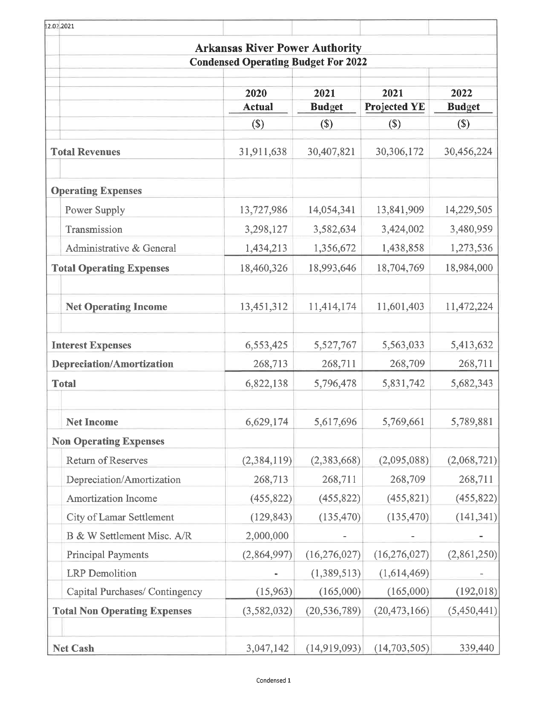| 12.02.2021                          |                                            |                |                     |               |
|-------------------------------------|--------------------------------------------|----------------|---------------------|---------------|
|                                     | <b>Arkansas River Power Authority</b>      |                |                     |               |
|                                     | <b>Condensed Operating Budget For 2022</b> |                |                     |               |
|                                     | 2020                                       | 2021           | 2021                | 2022          |
|                                     | <b>Actual</b>                              | <b>Budget</b>  | <b>Projected YE</b> | <b>Budget</b> |
|                                     | $(\$)$                                     | $($)$          | $(\$)$              | $($)$         |
| <b>Total Revenues</b>               | 31,911,638                                 | 30,407,821     | 30,306,172          | 30,456,224    |
| <b>Operating Expenses</b>           |                                            |                |                     |               |
| Power Supply                        | 13,727,986                                 | 14,054,341     | 13,841,909          | 14,229,505    |
| Transmission                        | 3,298,127                                  | 3,582,634      | 3,424,002           | 3,480,959     |
| Administrative & General            | 1,434,213                                  | 1,356,672      | 1,438,858           | 1,273,536     |
| <b>Total Operating Expenses</b>     | 18,460,326                                 | 18,993,646     | 18,704,769          | 18,984,000    |
| <b>Net Operating Income</b>         | 13,451,312                                 | 11,414,174     | 11,601,403          | 11,472,224    |
| <b>Interest Expenses</b>            | 6,553,425                                  | 5,527,767      | 5,563,033           | 5,413,632     |
| <b>Depreciation/Amortization</b>    | 268,713                                    | 268,711        | 268,709             | 268,711       |
| <b>Total</b>                        | 6,822,138                                  | 5,796,478      | 5,831,742           | 5,682,343     |
| <b>Net Income</b>                   | 6,629,174                                  | 5,617,696      | 5,769,661           | 5,789,881     |
| <b>Non Operating Expenses</b>       |                                            |                |                     |               |
| Return of Reserves                  | (2, 384, 119)                              | (2,383,668)    | (2,095,088)         | (2,068,721)   |
| Depreciation/Amortization           | 268,713                                    | 268,711        | 268,709             | 268,711       |
| Amortization Income                 | (455, 822)                                 | (455, 822)     | (455, 821)          | (455, 822)    |
| City of Lamar Settlement            | (129, 843)                                 | (135, 470)     | (135, 470)          | (141, 341)    |
| B & W Settlement Misc. A/R          | 2,000,000                                  |                |                     |               |
| <b>Principal Payments</b>           | (2,864,997)                                | (16, 276, 027) | (16, 276, 027)      | (2,861,250)   |
| <b>LRP</b> Demolition               |                                            | (1,389,513)    | (1,614,469)         |               |
| Capital Purchases/ Contingency      | (15,963)                                   | (165,000)      | (165,000)           | (192, 018)    |
| <b>Total Non Operating Expenses</b> | (3, 582, 032)                              | (20, 536, 789) | (20, 473, 166)      | (5,450,441)   |
| <b>Net Cash</b>                     | 3,047,142                                  | (14,919,093)   | (14,703,505)        | 339,440       |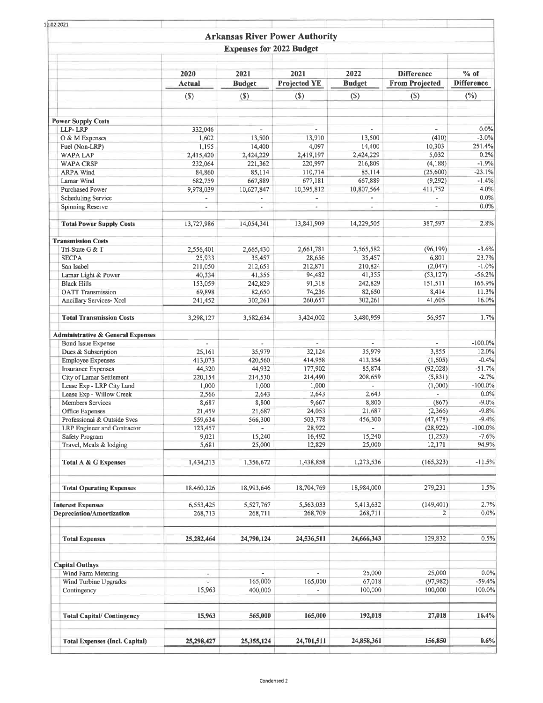| 12.02 2021                                            |                          |                                 |                                       |                          |                                |                              |
|-------------------------------------------------------|--------------------------|---------------------------------|---------------------------------------|--------------------------|--------------------------------|------------------------------|
|                                                       |                          |                                 | <b>Arkansas River Power Authority</b> |                          |                                |                              |
|                                                       |                          | <b>Expenses for 2022 Budget</b> |                                       |                          |                                |                              |
|                                                       | 2020                     | 2021                            | 2021                                  | 2022                     | <b>Difference</b>              | $%$ of                       |
|                                                       | <b>Actual</b><br>(S)     | <b>Budget</b><br>$($)$          | <b>Projected YE</b><br>$($)$          | <b>Budget</b><br>$($)$   | <b>From Projected</b><br>$(S)$ | <b>Difference</b><br>$(\% )$ |
|                                                       |                          |                                 |                                       |                          |                                |                              |
| <b>Power Supply Costs</b>                             |                          |                                 |                                       |                          |                                |                              |
| LLP-LRP                                               | 332,046                  |                                 |                                       |                          |                                | 0.0%                         |
| O & M Expenses                                        | 1,602                    | 13,500                          | 13,910                                | 13,500                   | (410)                          | $-3.0\%$                     |
| Fuel (Non-LRP)                                        | 1,195                    | 14,400                          | 4,097                                 | 14,400                   | 10,303                         | 251.4%<br>0.2%               |
| <b>WAPA LAP</b><br><b>WAPA CRSP</b>                   | 2,415,420<br>232,064     | 2,424,229<br>221,362            | 2,419,197<br>220,997                  | 2,424,229<br>216,809     | 5,032<br>(4, 188)              | $-1.9%$                      |
| <b>ARPA Wind</b>                                      | 84,860                   | 85,114                          | 110,714                               | 85,114                   | (25,600)                       | $-23.1%$                     |
| Lamar Wind                                            | 682,759                  | 667,889                         | 677,181                               | 667,889                  | (9, 292)                       | $-1.4%$                      |
| <b>Purchased Power</b>                                | 9,978,039                | 10,627,847                      | 10,395,812                            | 10,807,564               | 411,752                        | 4.0%                         |
| <b>Scheduling Service</b>                             | ä,                       |                                 |                                       |                          |                                | 0.0%                         |
| <b>Spinning Reserve</b>                               | $\blacksquare$           | ×,                              | à,                                    | $\overline{\phantom{a}}$ | Ξ                              | 0.0%                         |
| <b>Total Power Supply Costs</b>                       | 13,727,986               | 14.054.341                      | 13,841,909                            | 14,229,505               | 387,597                        | 2.8%                         |
| <b>Transmission Costs</b>                             |                          |                                 |                                       |                          |                                |                              |
| Tri-State G & T                                       | 2,556,401                | 2,665,430                       | 2,661,781                             | 2,565,582                | (96, 199)                      | $-3.6%$                      |
| <b>SECPA</b>                                          | 25,933                   | 35,457                          | 28,656                                | 35,457                   | 6,801                          | 23.7%                        |
| San Isabel                                            | 211,050                  | 212,651                         | 212,871                               | 210,824                  | (2,047)                        | $-1.0%$                      |
| Lamar Light & Power                                   | 40,334                   | 41,355                          | 94,482                                | 41,355                   | (53, 127)                      | $-56.2%$                     |
| <b>Black Hills</b>                                    | 153,059                  | 242,829                         | 91,318                                | 242,829                  | 151,511                        | 165.9%                       |
| <b>OATT</b> Transmission                              | 69,898                   | 82,650                          | 74,236                                | 82,650                   | 8,414                          | 11.3%                        |
| Ancillary Services- Xcel                              | 241,452                  | 302,261                         | 260,657                               | 302,261                  | 41,605                         | 16.0%                        |
| <b>Total Transmission Costs</b>                       | 3,298,127                | 3,582,634                       | 3,424,002                             | 3,480,959                | 56,957                         | 1.7%                         |
| <b>Administrative &amp; General Expenses</b>          |                          |                                 |                                       |                          |                                |                              |
| <b>Bond Issue Expense</b>                             | $\overline{\phantom{a}}$ | $\overline{\phantom{a}}$        | $\overline{\phantom{a}}$              | $\sim$                   | ٠                              | $-100.0%$                    |
| Dues & Subscription                                   | 25,161                   | 35,979                          | 32,124                                | 35,979                   | 3,855                          | 12.0%                        |
| <b>Employee Expenses</b>                              | 413,073                  | 420,560                         | 414,958                               | 413,354                  | (1,605)                        | $-0.4%$                      |
| <b>Insurance Expenses</b>                             | 44,320                   | 44,932                          | 177,902                               | 85,874                   | (92,028)                       | $-51.7%$                     |
| City of Lamar Settlement                              | 220,154                  | 214,530                         | 214,490                               | 208,659                  | (5, 831)                       | $-2.7%$                      |
| Lease Exp - LRP City Land<br>Lease Exp - Willow Creek | 1,000                    | 1,000<br>2,643                  | 1,000<br>2,643                        | $\mathcal{L}$<br>2,643   | (1,000)<br>Ξ                   | $-100.0%$<br>0.0%            |
| Members Services                                      | 2,566<br>8,687           | 8,800                           | 9,667                                 | 8,800                    | (867)                          | $-9.0%$                      |
| Office Expenses                                       | 21,459                   | 21,687                          | 24,053                                | 21,687                   | (2,366)                        | $-9.8%$                      |
| Professional & Outside Svcs                           | 559,634                  | 566,300                         | 503,778                               | 456,300                  | (47, 478)                      | $-9.4%$                      |
| LRP Engineer and Contractor                           | 123,457                  | $\blacksquare$                  | 28,922                                |                          | (28, 922)                      | $-100.0\%$                   |
| Safety Program                                        | 9,021                    | 15,240                          | 16,492                                | 15,240                   | (1,252)                        | $-7.6%$                      |
| Travel, Meals & lodging                               | 5,681                    | 25,000                          | 12,829                                | 25,000                   | 12,171                         | 94.9%                        |
| Total A & G Expenses                                  | 1,434,213                | 1,356,672                       | 1,438,858                             | 1,273,536                | (165, 323)                     | $-11.5%$                     |
| <b>Total Operating Expenses</b>                       | 18,460,326               | 18,993,646                      | 18,704,769                            | 18,984,000               | 279,231                        | 1.5%                         |
|                                                       |                          |                                 |                                       |                          |                                |                              |
| <b>Interest Expenses</b>                              | 6,553,425                | 5,527,767                       | 5,563,033                             | 5,413,632                | (149, 401)                     | $-2.7%$                      |
| <b>Depreciation/Amortization</b>                      | 268,713                  | 268,711                         | 268,709                               | 268,711                  | 2                              | 0.0%                         |
| <b>Total Expenses</b>                                 | 25,282,464               | 24,790,124                      | 24,536,511                            | 24,666,343               | 129,832                        | 0.5%                         |
| <b>Capital Outlays</b>                                |                          |                                 |                                       |                          |                                |                              |
| Wind Farm Metering                                    | ÷.                       | ×.                              | $\sim$                                | 25,000                   | 25,000                         | 0.0%                         |
| Wind Turbine Upgrades                                 | z                        | 165,000                         | 165,000                               | 67,018                   | (97, 982)                      | $-59.4%$                     |
| Contingency                                           | 15,963                   | 400,000                         |                                       | 100,000                  | 100,000                        | 100.0%                       |
| <b>Total Capital/Contingency</b>                      | 15,963                   | 565,000                         | 165,000                               | 192,018                  | 27,018                         | 16.4%                        |
| <b>Total Expenses (Incl. Capital)</b>                 | 25,298,427               | 25, 355, 124                    | 24,701,511                            | 24,858,361               | 156,850                        | 0.6%                         |
|                                                       |                          |                                 |                                       |                          |                                |                              |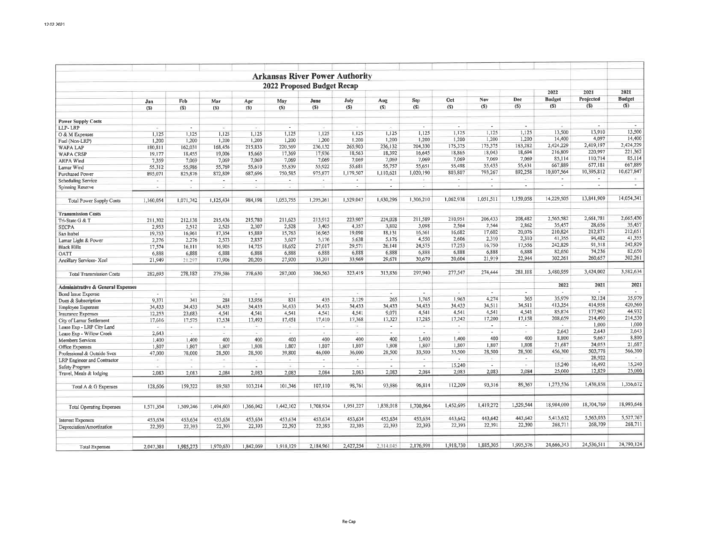|                                              |                       |                          |                          |                |                          |                          | <b>Arkansas River Power Authority</b> |                          |                          |                          |                          |                                    |                          |                   |                   |
|----------------------------------------------|-----------------------|--------------------------|--------------------------|----------------|--------------------------|--------------------------|---------------------------------------|--------------------------|--------------------------|--------------------------|--------------------------|------------------------------------|--------------------------|-------------------|-------------------|
| 2022 Proposed Budget Recap                   |                       |                          |                          |                |                          |                          |                                       |                          |                          |                          | 2022                     | 2021                               | 2021                     |                   |                   |
|                                              | Jan                   | Feb                      | Mar                      | Apr            | May                      | June                     | July                                  | Aug                      | Sep                      | Oct                      | Nov                      | Dec                                | <b>Budget</b>            | Projected         | <b>Budget</b>     |
|                                              | (S)                   | (S)                      | (S)                      | (S)            | (S)                      | $($)$                    | (S)                                   | (S)                      | $(5)$                    | $(5)$                    | $($)$                    | (S)                                | (S)                      | (S)               | $(5)$             |
| <b>Power Supply Costs</b>                    |                       |                          |                          |                |                          |                          |                                       |                          |                          |                          |                          |                                    |                          |                   |                   |
| LLP-LRP                                      | w                     | $\sim$                   | $\sim$                   | $-10^{11}$     | $\overline{a}$           |                          | $\sim$                                | $\sim$                   | $\overline{\phantom{a}}$ | . п.                     | $\overline{\phantom{a}}$ | $\overline{a}$                     |                          | $\sim$            |                   |
| O & M Expenses                               | 1.125                 | 1,125                    | 1,125                    | 1,125          | 1,125                    | 1.125                    | 1,125                                 | 1,125                    | 1.125                    | 1,125                    | 1,125                    | 1,125                              | 13,500                   | 13,910            | 13,500            |
| Fuel (Non-LRP)                               | 1,200                 | 1,200                    | 1,200                    | 1,200          | 1,200                    | 1.200                    | 1,200                                 | 1,200                    | 1,200                    | 1,200                    | 1,200                    | 1,200                              | 14,400                   | 4,097             | 14,400            |
| <b>WAPA LAP</b>                              | 180,811               | 162,031                  | 168,456                  | 215,833        | 220,569                  | 236,132                  | 265,903                               | 236.132                  | 204,330                  | 175,375                  | 175,375                  | 183,282                            | 2,424,229                | 2,419,197         | 2,424,229         |
| <b>WAPA CRSF</b>                             | 19,177                | 18,455                   | 19,006                   | 15,665         | 17,369                   | 17,936                   | 18,563                                | 18,392                   | 16,645                   | 18,865                   | 18,043                   | 18,694                             | 216,809                  | 220,997           | 221,362           |
| <b>ARPA Wind</b>                             | 7,359                 | 7.069                    | 7,069                    | 7,069          | 7,069                    | 7,069                    | 7,069                                 | 7,069                    | 7,069                    | 7,069                    | 7,069                    | 7,069                              | 85,114                   | 110,714           | 85,114            |
| Lamar Wind                                   | 55,312                | 55,986                   | 55,769                   | 55,610         | 55,839                   | 55,922                   | 55,681                                | 55,757                   | 55,651                   | 55,498                   | 55,433                   | 55,431                             | 667,889                  | 677,181           | 667,889           |
| <b>Purchased Power</b>                       | 895.071               | 825,876                  | 872,809                  | 687,696        | 750,585                  | 975,877                  | 1,179,507                             | 1,110,621                | 1,020,190                | 803,807                  | 793,267                  | 892,258                            | 10,807,564               | 10,395,812        | 10,627,847        |
| <b>Scheduling Service</b>                    | $\tilde{\phantom{a}}$ | $\overline{\phantom{a}}$ | $\sim$                   | $\blacksquare$ | $\overline{\phantom{a}}$ | $\tilde{\phantom{a}}$    | $\epsilon$                            | $\sim$                   | Ð                        | $\sim$                   | $\blacksquare$           | ×                                  | $\overline{\phantom{a}}$ | $\sim$            | $\mathcal{C}$     |
| <b>Spinning Reserve</b>                      | $\sim$                | $\sim$                   | ×                        | ٠              | $\sim$                   |                          | $\sim$                                | ٠                        | ×                        | $\overline{\phantom{a}}$ | $\sim$                   | $\overline{\phantom{a}}$           | $\overline{\phantom{a}}$ | $\sim$            | $\sim$            |
| <b>Total Power Supply Costs</b>              | 1,160,054             | 1,071,742                | 1,125,434                | 984,198        | 1,053,755                | 1,295,261                | 1,529,047                             | 1,430,296                | 1,306,210                | 1,062,938                | 1,051,511                | 1,159,058                          | 14,229,505               | 13,841,909        | 14,054,341        |
| <b>Transmission Costs</b>                    |                       |                          |                          |                |                          |                          |                                       |                          |                          |                          |                          |                                    |                          |                   |                   |
| Tri-State G & T                              | 211,302               | 212,138                  | 215,436                  | 215,780        | 211,623                  | 213,912                  | 223,907                               | 224,028                  | 211,589                  | 210,951                  | 206,433                  | 208,482                            | 2,565,582                | 2,661,781         | 2,665,430         |
| <b>SECPA</b>                                 | 2,953                 | 2,512                    | 2,525                    | 2.307          | 2,528                    | 3.405                    | 4,357                                 | 3,802                    | 3,098                    | 2.564                    | 2,544                    | 2,862                              | 35,457                   | 28,656            | 35,457            |
| San Isabel                                   | 19,753                | 16,961                   | 17,354                   | 15,889         | 15,763                   | 16,965                   | 19,090                                | 18,131                   | 16,561                   | 16,682                   | 17,602                   | 20,076                             | 210,824                  | 212,871           | 212,651           |
| Lamar Light & Power                          | 2,276                 | 2,276                    | 2,573                    | 2,837          | 3,627                    | 5,176                    | 5,638                                 | 5,176                    | 4,550                    | 2,606                    | 2.310                    | 2,310                              | 41,355                   | 94.482            | 41,355            |
| <b>Black Hills</b>                           | 17,574                | 16,111                   | 16.905                   | 14,725         | 18,652                   | 27,017                   | 29,571                                | 26,141                   | 24,575                   | 17.253                   | 16,750                   | 17,556                             | 242,829                  | 91,318            | 242,829           |
| OATT                                         | 6,888                 | 6,888                    | 6,888                    | 6,888          | 6,888                    | 6,888                    | 6,888                                 | 6,888                    | 6,888                    | 6.888                    | 6,888                    | 6,888                              | 82,650                   | 74,236            | 82,650            |
| Ancillary Services- Xcel                     | 21,949                | 21.297                   | 17,906                   | 20,205         | 27,920                   | 33,201                   | 33,969                                | 29,671                   | 30,679                   | 20,604                   | 21,919                   | 22,944                             | 302,261                  | 260,657           | 302,261           |
| <b>Total Transmission Costs</b>              | 282,693               | 278,182                  | 279,586                  | 278,630        | 287,000                  | 306,563                  | 323.419                               | 313,836                  | 297,940                  | 277,547                  | 274,444                  | 281,118                            | 3,480,959                | 3,424,002         | 3,582,634         |
| <b>Administrative &amp; General Expenses</b> |                       |                          |                          |                |                          |                          |                                       |                          |                          |                          |                          |                                    | 2022                     | 2021              | 2021              |
| <b>Bond Issue Expense</b>                    | ÷,                    | $\overline{\phantom{a}}$ | $\overline{\phantom{a}}$ | $\sim$         | $\sim$                   | $\sim$                   | $\sim$                                | $\sim$                   | ÷.                       | ÷.                       | $\overline{a}$           | $\sim$                             | $\sim$                   | ч.                | $\sim$            |
| Dues & Subscription                          | 9,371                 | 341                      | 284                      | 13,956         | 831                      | 435                      | 2,129                                 | 265                      | 1,765                    | 1,963                    | 4,274                    | 365                                | 35,979                   | 32,124            | 35,979            |
| <b>Employee Expenses</b>                     | 34,433                | 34,433                   | 34,433                   | 34,433         | 34.433                   | 34,433                   | 34,433                                | 34,433                   | 34,433                   | 34,433                   | 34,511                   | 34,511                             | 413,354                  | 414,958           | 420,560           |
| <b>Insurance Expenses</b>                    | 12,253                | 23,683                   | 4,541                    | 4,541          | 4,541                    | 4,541                    | 4,541                                 | 9,071                    | 4,541                    | 4,541                    | 4,541                    | 4,541                              | 85,874                   | 177,902           | 44,932            |
| City of Lamar Settlement                     | 17,616                | 17.575                   | 17.534                   | 17,493         | 17,451                   | 17,410                   | 17,368                                | 17,327                   | 17,285                   | 17,242                   | 17,200                   | 17,158                             | 208,659                  | 214,490           | 214,530           |
| Lease Exp - LRP City Land                    | $\sim$                | a.                       | $\sim$                   | œ              | $\sim$                   | $\overline{\phantom{a}}$ | ÷                                     |                          | $\sim$                   | $\sim$                   | $\sim$                   | $\sim$                             | $\sim$                   | 1,000             | 1,000             |
| Lease Exp - Willow Creek                     | 2,643                 | $\sim$                   | ×                        | i al           | ×                        | $\sim$                   | $\sim$                                | $\sim$                   | $\sim$                   |                          | ÷                        |                                    | 2,643                    | 2,643             | 2,643             |
| <b>Members Services</b>                      | 1,400                 | 1,400                    | 400                      | 400            | 400                      | 400                      | 400                                   | 400                      | 1,400                    | 1.400                    | 400                      | 400                                | 8,800                    | 9.667             | 8,800             |
| Office Expenses                              | 1,807                 | 1,807                    | 1,807                    | 1,808          | 1.807                    | 1,807                    | 1,807                                 | 1,808                    | 1,807                    | 1,807                    | 1,807                    | 1.808                              | 21,687                   | 24,053            | 21,687            |
| Professional & Outside Svcs                  | 47,000                | 78,000                   | 28,500                   | 28,500         | 39.800                   | 46,000                   | 36,000                                | 28,500                   | 33,500                   | 33,500                   | 28,500                   | 28,500                             | 456,300                  | 503,778<br>28,922 | 566,300<br>$\sim$ |
| LRP Engineer and Contractor                  | $\sim$                | ×.                       | ×                        | ÷              | $\sim$                   | $\overline{\phantom{a}}$ | $\sim$                                | $\overline{\phantom{a}}$ | $\sim$                   | $\sim$                   | $\sim$<br>$\sim$         | $\sim$<br>$\overline{\phantom{a}}$ | $\sim$<br>15,240         | 16,492            | 15,240            |
| Safety Program                               | ×                     | $\sim$                   | ×                        | $\blacksquare$ | ×                        | $\sim$                   | ÷.                                    | ÷.                       | $\overline{\phantom{a}}$ | 15,240                   |                          |                                    | 25,000                   | 12,829            | 25,000            |
| Travel, Meals & lodging                      | 2,083                 | 2,083                    | 2.084                    | 2.083          | 2.083                    | 2.084                    | 2,083                                 | 2,083                    | 2.084                    | 2,083                    | 2,083                    | 2,084                              |                          |                   |                   |
| Total A & G Expenses                         | 128,606               | 159,322                  | 89,583                   | 103,214        | 101,346                  | 107,110                  | 98,761                                | 93,886                   | 96,814                   | 112,209                  | 93,316                   | 89.367                             | 1,273,536                | 1,438,858         | 1,356,672         |
| <b>Total Operating Expenses</b>              | 1,571,354             | 1,509,246                | 1,494,603                | 1,366,042      | 1,442,102                | 1,708,934                | 1,951,227                             | 1,838,018                | 1,700,964                | 1,452,695                | 1.419.272                | 1,529,544                          | 18,984,000               | 18,704,769        | 18,993,646        |
| <b>Interest Expenses</b>                     | 453,634               | 453,634                  | 453,634                  | 453,634        | 453,634                  | 453,634                  | 453,634                               | 453.634                  | 453.634                  | 443,642                  | 443,642                  | 443,642                            | 5,413,632                | 5,563,033         | 5,527,767         |
| Depreciation/Amortization                    | 22,393                | 22,393                   | 22,393                   | 22,393         | 22,393                   | 22,393                   | 22,393                                | 22,393                   | 22,393                   | 22,393                   | 22,391                   | 22,390                             | 268,711                  | 268,709           | 268,711           |
|                                              |                       |                          |                          |                |                          | 2,184,961                | 2,427,254                             | 2.314.045                | 2,176,991                | 1,918,730                | 1,885,305                | 1,995,576                          | 24,666,343               | 24,536,511        | 24,790,124        |
| <b>Total Expenses</b>                        | 2,047,381             | 1,985,273                | 1,970,630                | 1,842,069      | 1,918,129                |                          |                                       |                          |                          |                          |                          |                                    |                          |                   |                   |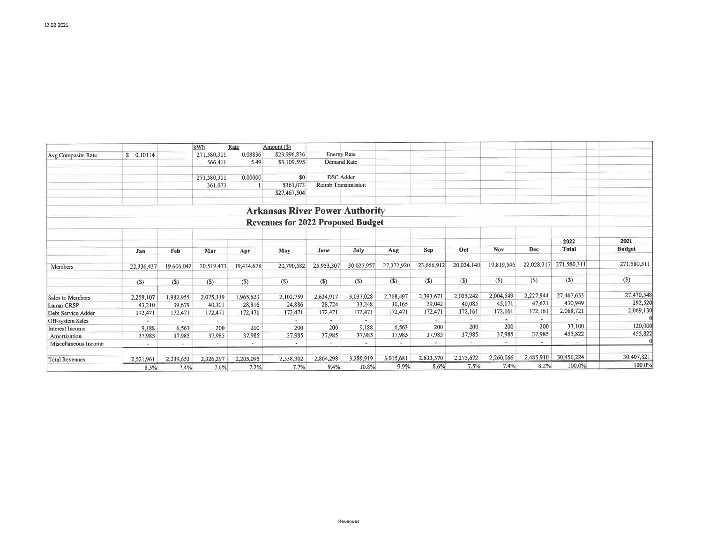|                        |                          |            | kWh         | Rate                     | Amount (\$)                              |                           |             |            |            |            |                          |            |              |               |
|------------------------|--------------------------|------------|-------------|--------------------------|------------------------------------------|---------------------------|-------------|------------|------------|------------|--------------------------|------------|--------------|---------------|
| Avg Composite Rate     | \$0.10114                |            | 271,580,311 | 0.08836                  | \$23,996,836                             | <b>Energy Rate</b>        |             |            |            |            |                          |            |              |               |
|                        |                          |            | 566,411     | 5.49                     | \$3,109,595                              | <b>Demand Rate</b>        |             |            |            |            |                          |            |              |               |
|                        |                          |            |             |                          |                                          |                           |             |            |            |            |                          |            |              |               |
|                        |                          |            | 271,580,311 | 0.00000                  | \$0                                      | <b>DSC</b> Adder          |             |            |            |            |                          |            |              |               |
|                        |                          |            | 361,073     |                          | \$361,073                                | <b>Reimb Transmission</b> |             |            |            |            |                          |            |              |               |
|                        |                          |            |             |                          | \$27,467,504                             |                           |             |            |            |            |                          |            |              |               |
|                        |                          |            |             |                          | <b>Arkansas River Power Authority</b>    |                           |             |            |            |            |                          |            |              |               |
|                        |                          |            |             |                          | <b>Revenues for 2022 Proposed Budget</b> |                           |             |            |            |            |                          |            |              |               |
|                        |                          |            |             |                          |                                          |                           |             |            |            |            |                          |            | 2022         | 2021          |
|                        | Jan                      | Feb        | Mar         | Apr                      | May                                      | June                      | <b>July</b> | Aug        | Sep        | Oct        | Nov                      | Dec        | <b>Total</b> | <b>Budget</b> |
| Members                | 22,336,437               | 19,606,042 | 20,519,473  | 19,434,678               | 20,790,582                               | 25,953,307                | 30,027,957  | 27,372,920 | 23,666,912 | 20,024,140 | 19,819,546               | 22,028,317 | 271,580,311  | 271,580,311   |
|                        | $(S)$                    | $($)$      | (S)         | $($ \$                   | $($)$                                    | $($)$                     | (S)         | $($)$      | $(\$)$     | $($)$      | $($)$                    | $($ \$     | $($)$        | $($ \$)       |
|                        |                          |            |             |                          |                                          |                           |             |            |            |            |                          |            |              |               |
| Sales to Members       | 2,259,107                | 1,982,955  | 2,075,339   | 1,965,623                | 2,102,759                                | 2,624,917                 | 3,037,028   | 2,768,497  | 2,393,671  | 2,025,242  | 2,004,549                | 2,227,944  | 27,467,633   | 27,470,348    |
| <b>Lamar CRSP</b>      | 43,210                   | 39,679     | 40,301      | 28,816                   | 24,886                                   | 28,724                    | 33,248      | 30,165     | 29,042     | 40,085     | 45,171                   | 47,621     | 430,949      | 292,520       |
| Debt Service Adder     | 172,471                  | 172,471    | 172,471     | 172,471                  | 172,471                                  | 172,471                   | 172,471     | 172,471    | 172,471    | 172,161    | 172,161                  | 172,161    | 2,068,721    | 2,069,130     |
| Off-system Sales       |                          |            |             |                          |                                          |                           |             |            |            |            | $\overline{\phantom{a}}$ |            |              |               |
| <b>Interest Income</b> | 9.188                    | 6,563      | 200         | 200                      | 200                                      | 200                       | 9,188       | 6,563      | 200        | 200        | 200                      | 200        | 33,100       | 120,000       |
| Amortization           | 37,985                   | 37,985     | 37,985      | 37,985                   | 37,985                                   | 37,985                    | 37,985      | 37,985     | 37,985     | 37,985     | 37,985                   | 37,985     | 455,822      | 455,822       |
| Miscellaneous Income   | $\overline{\phantom{a}}$ | $\sim$     |             | $\overline{\phantom{a}}$ |                                          |                           |             |            | ٠          | $\sim$     |                          |            |              |               |
| <b>Total Revenues</b>  | 2,521,961                | 2,239,653  | 2,326,297   | 2,205,095                | 2,338,302                                | 2,864,298                 | 3,289,919   | 3,015,681  | 2,633,370  | 2,275,672  | 2,260,066                | 2,485,910  | 30,456,224   | 30,407,821    |
|                        | 8.3%                     | 7.4%       | 7.6%        | 7.2%                     | 7.7%                                     | 9.4%                      | 10.8%       | 9.9%       | 8.6%       | 7.5%       | 7.4%                     | 8.2%       | 100.0%       | 100.0%        |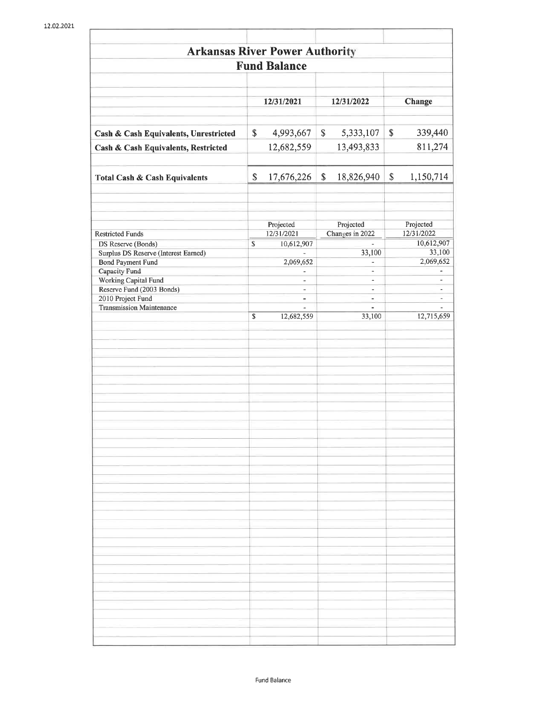| <b>Arkansas River Power Authority</b>                    |               |                                               |    |                                            |              |                                                      |
|----------------------------------------------------------|---------------|-----------------------------------------------|----|--------------------------------------------|--------------|------------------------------------------------------|
|                                                          |               | <b>Fund Balance</b>                           |    |                                            |              |                                                      |
|                                                          |               | 12/31/2021<br>12/31/2022                      |    |                                            |              | Change                                               |
|                                                          |               |                                               |    |                                            |              |                                                      |
| Cash & Cash Equivalents, Unrestricted                    | \$            | 4,993,667                                     | S  | 5,333,107                                  | \$           | 339,440                                              |
| Cash & Cash Equivalents, Restricted                      |               | 12,682,559                                    |    | 13,493,833                                 |              | 811,274                                              |
| <b>Total Cash &amp; Cash Equivalents</b>                 | \$            | 17,676,226                                    | \$ | 18,826,940                                 | $\mathbb{S}$ | 1,150,714                                            |
| <b>Restricted Funds</b>                                  |               | Projected<br>12/31/2021                       |    | Projected<br>Changes in 2022               |              | Projected<br>12/31/2022                              |
| DS Reserve (Bonds)                                       | \$            | 10,612,907                                    |    |                                            |              | 10,612,907                                           |
| Surplus DS Reserve (Interest Earned)                     |               |                                               |    | 33,100                                     |              | 33,100                                               |
| Bond Payment Fund                                        |               | 2,069,652                                     |    |                                            |              | 2,069,652                                            |
| Capacity Fund                                            |               | $\overline{a}$                                |    | $\overline{\phantom{a}}$                   |              | ٠                                                    |
| <b>Working Capital Fund</b><br>Reserve Fund (2003 Bonds) |               | $\overline{\phantom{a}}$<br>$\qquad \qquad -$ |    | $\blacksquare$<br>$\overline{\phantom{a}}$ |              | $\overline{\phantom{a}}$<br>$\overline{\phantom{a}}$ |
| 2010 Project Fund                                        |               | $\blacksquare$                                |    | $\overline{\phantom{a}}$                   |              | $\overline{\phantom{a}}$                             |
| <b>Transmission Maintenance</b>                          |               |                                               |    | ä,                                         |              |                                                      |
|                                                          | ${\mathbb S}$ | 12,682,559                                    |    | 33,100                                     |              | 12,715,659                                           |
|                                                          |               |                                               |    |                                            |              |                                                      |
|                                                          |               |                                               |    |                                            |              |                                                      |
|                                                          |               |                                               |    |                                            |              |                                                      |
|                                                          |               |                                               |    |                                            |              |                                                      |
|                                                          |               |                                               |    |                                            |              |                                                      |
|                                                          |               |                                               |    |                                            |              |                                                      |
|                                                          |               |                                               |    |                                            |              |                                                      |
|                                                          |               |                                               |    |                                            |              |                                                      |
|                                                          |               |                                               |    |                                            |              |                                                      |
|                                                          |               |                                               |    |                                            |              |                                                      |